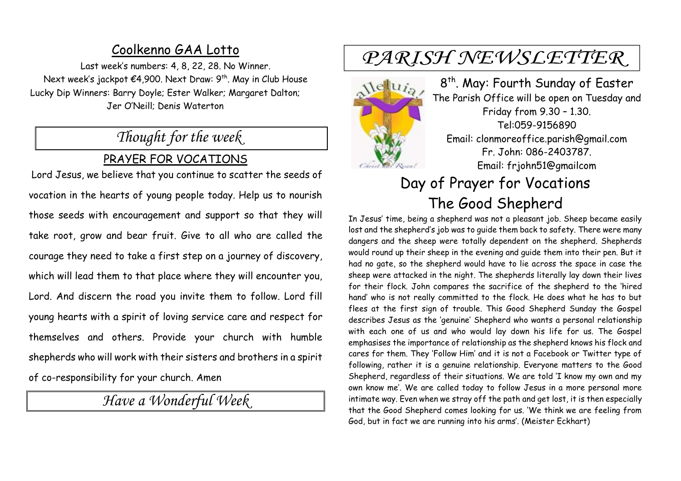### Coolkenno GAA Lotto

Last week's numbers: 4, 8, 22, 28. No Winner. Next week's jackpot €4,900. Next Draw: 9<sup>th</sup>. May in Club House Lucky Dip Winners: Barry Doyle; Ester Walker; Margaret Dalton; Jer O'Neill; Denis Waterton

# *Thought for the week*

### PRAYER FOR VOCATIONS

Lord Jesus, we believe that you continue to scatter the seeds of vocation in the hearts of young people today. Help us to nourish those seeds with encouragement and support so that they will take root, grow and bear fruit. Give to all who are called the courage they need to take a first step on a journey of discovery, which will lead them to that place where they will encounter you, Lord. And discern the road you invite them to follow. Lord fill young hearts with a spirit of loving service care and respect for themselves and others. Provide your church with humble shepherds who will work with their sisters and brothers in a spirit of co-responsibility for your church. Amen

*Have a Wonderful Week* 

# PARISH NEWSLETTER

 $M$ elui<sub>a</sub>

8 th . May: Fourth Sunday of Easter The Parish Office will be open on Tuesday and Friday from 9.30 – 1.30. Tel:059-9156890 Email: clonmoreoffice.parish@gmail.com Fr. John: 086-2403787. Email: frjohn51@gmailcom

# Day of Prayer for Vocations The Good Shepherd

In Jesus' time, being a shepherd was not a pleasant job. Sheep became easily lost and the shepherd's job was to guide them back to safety. There were many dangers and the sheep were totally dependent on the shepherd. Shepherds would round up their sheep in the evening and guide them into their pen. But it had no gate, so the shepherd would have to lie across the space in case the sheep were attacked in the night. The shepherds literally lay down their lives for their flock. John compares the sacrifice of the shepherd to the 'hired hand' who is not really committed to the flock. He does what he has to but flees at the first sign of trouble. This Good Shepherd Sunday the Gospel describes Jesus as the 'genuine' Shepherd who wants a personal relationship with each one of us and who would lay down his life for us. The Gospel emphasises the importance of relationship as the shepherd knows his flock and cares for them. They 'Follow Him' and it is not a Facebook or Twitter type of following, rather it is a genuine relationship. Everyone matters to the Good Shepherd, regardless of their situations. We are told 'I know my own and my own know me'. We are called today to follow Jesus in a more personal more intimate way. Even when we stray off the path and get lost, it is then especially that the Good Shepherd comes looking for us. 'We think we are feeling from God, but in fact we are running into his arms'. (Meister Eckhart)